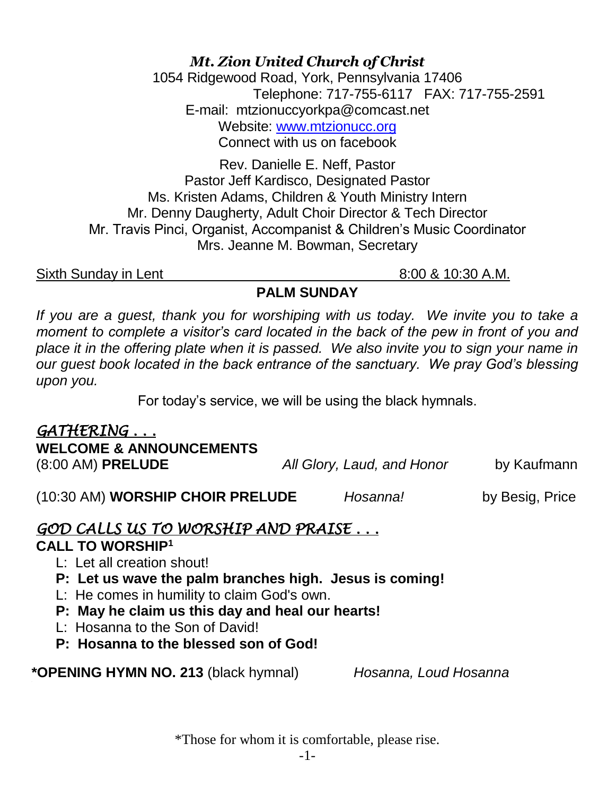*Mt. Zion United Church of Christ*

1054 Ridgewood Road, York, Pennsylvania 17406 Telephone: 717-755-6117 FAX: 717-755-2591 E-mail: mtzionuccyorkpa@comcast.net Website: [www.mtzionucc.org](http://www.mtzionucc.org/) Connect with us on facebook

Rev. Danielle E. Neff, Pastor Pastor Jeff Kardisco, Designated Pastor Ms. Kristen Adams, Children & Youth Ministry Intern Mr. Denny Daugherty, Adult Choir Director & Tech Director Mr. Travis Pinci, Organist, Accompanist & Children's Music Coordinator Mrs. Jeanne M. Bowman, Secretary

Sixth Sunday in Lent 8:00 & 10:30 A.M.

#### **PALM SUNDAY**

If you are a guest, thank you for worshiping with us today. We invite you to take a *moment to complete a visitor's card located in the back of the pew in front of you and place it in the offering plate when it is passed. We also invite you to sign your name in our guest book located in the back entrance of the sanctuary. We pray God's blessing upon you.*

For today's service, we will be using the black hymnals.

| GATHERING<br><b>WELCOME &amp; ANNOUNCEMENTS</b> |                            |                 |
|-------------------------------------------------|----------------------------|-----------------|
| $(8:00 \text{ AM})$ PRELUDE                     | All Glory, Laud, and Honor | by Kaufmann     |
| (10:30 AM) WORSHIP CHOIR PRELUDE                | Hosanna!                   | by Besig, Price |

*GOD CALLS US TO WORSHIP AND PRAISE . . .* 

### **CALL TO WORSHIP<sup>1</sup>**

- L: Let all creation shout!
- **P: Let us wave the palm branches high. Jesus is coming!**
- L: He comes in humility to claim God's own.
- **P: May he claim us this day and heal our hearts!**
- L: Hosanna to the Son of David!
- **P: Hosanna to the blessed son of God!**

**\*OPENING HYMN NO. 213** (black hymnal) *Hosanna, Loud Hosanna*

\*Those for whom it is comfortable, please rise.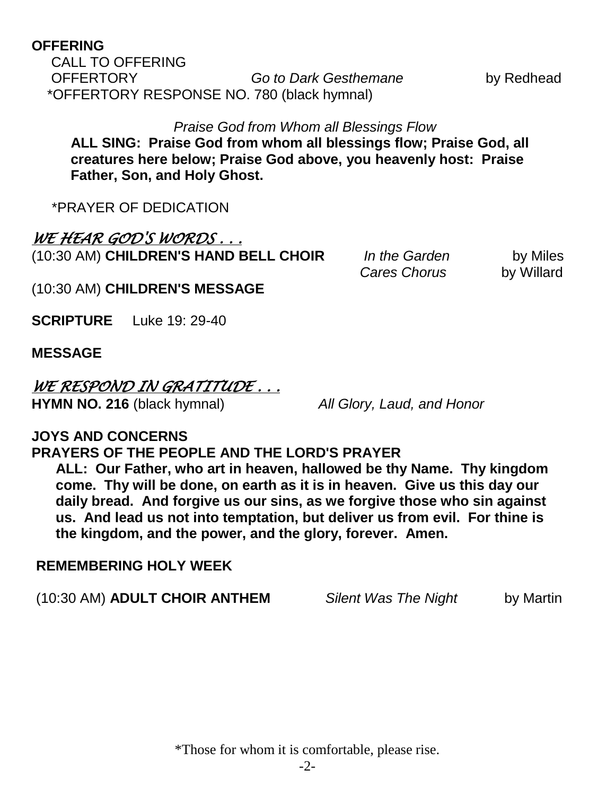#### **OFFERING**

CALL TO OFFERING OFFERTORY *Go to Dark Gesthemane* by Redhead \*OFFERTORY RESPONSE NO. 780 (black hymnal)

*Praise God from Whom all Blessings Flow* **ALL SING: Praise God from whom all blessings flow; Praise God, all creatures here below; Praise God above, you heavenly host: Praise Father, Son, and Holy Ghost.**

\*PRAYER OF DEDICATION

### *WE HEAR GOD'S WORDS . . .*

(10:30 AM) **CHILDREN'S HAND BELL CHOIR** *In the Garden* by Miles

*Cares Chorus* **by Willard** 

(10:30 AM) **CHILDREN'S MESSAGE** 

**SCRIPTURE** Luke 19: 29-40

#### **MESSAGE**

# *WE RESPOND IN GRATITUDE . . .*

**HYMN NO. 216** (black hymnal) *All Glory, Laud, and Honor*

#### **JOYS AND CONCERNS**

### **PRAYERS OF THE PEOPLE AND THE LORD'S PRAYER**

 **ALL: Our Father, who art in heaven, hallowed be thy Name. Thy kingdom come. Thy will be done, on earth as it is in heaven. Give us this day our daily bread. And forgive us our sins, as we forgive those who sin against us. And lead us not into temptation, but deliver us from evil. For thine is the kingdom, and the power, and the glory, forever. Amen.**

#### **REMEMBERING HOLY WEEK**

|  | (10:30 AM) ADULT CHOIR ANTHEM | <b>Silent Was The Night</b> | by Martin |
|--|-------------------------------|-----------------------------|-----------|
|--|-------------------------------|-----------------------------|-----------|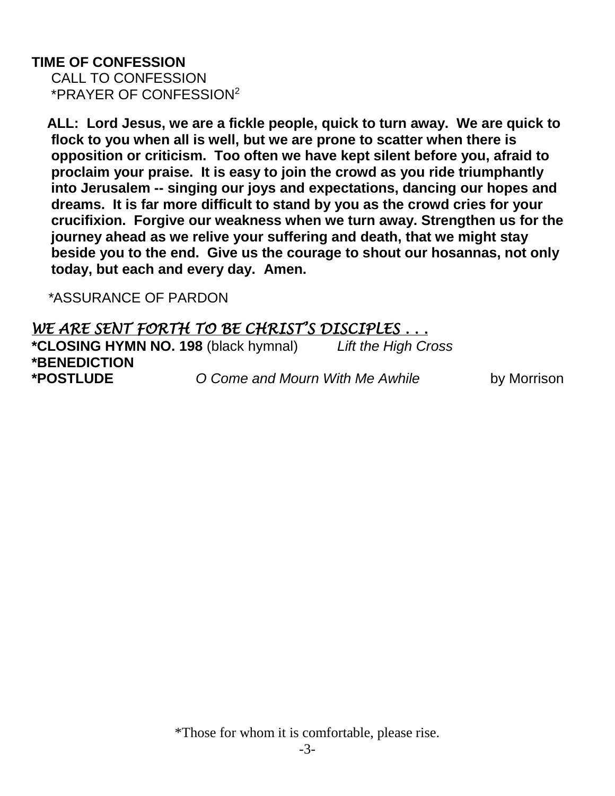#### **TIME OF CONFESSION** CALL TO CONFESSION \*PRAYER OF CONFESSION<sup>2</sup>

 **ALL: Lord Jesus, we are a fickle people, quick to turn away. We are quick to flock to you when all is well, but we are prone to scatter when there is opposition or criticism. Too often we have kept silent before you, afraid to proclaim your praise. It is easy to join the crowd as you ride triumphantly into Jerusalem -- singing our joys and expectations, dancing our hopes and dreams. It is far more difficult to stand by you as the crowd cries for your crucifixion. Forgive our weakness when we turn away. Strengthen us for the journey ahead as we relive your suffering and death, that we might stay beside you to the end. Give us the courage to shout our hosannas, not only today, but each and every day. Amen.** 

 *\**ASSURANCE OF PARDON

## *WE ARE SENT FORTH TO BE CHRIST'S DISCIPLES . . .*  **\*CLOSING HYMN NO. 198** (black hymnal) *Lift the High Cross*  **\*BENEDICTION** **\*POSTLUDE** *O Come and Mourn With Me Awhile* by Morrison